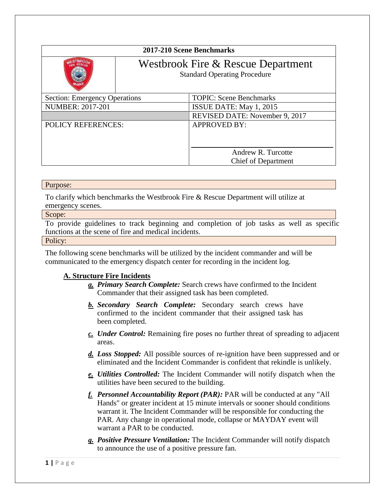| 2017-210 Scene Benchmarks            |                                                                           |                                                  |
|--------------------------------------|---------------------------------------------------------------------------|--------------------------------------------------|
|                                      | Westbrook Fire & Rescue Department<br><b>Standard Operating Procedure</b> |                                                  |
| <b>Section: Emergency Operations</b> |                                                                           | <b>TOPIC: Scene Benchmarks</b>                   |
| <b>NUMBER: 2017-201</b>              |                                                                           | ISSUE DATE: May 1, 2015                          |
|                                      |                                                                           | REVISED DATE: November 9, 2017                   |
| <b>POLICY REFERENCES:</b>            |                                                                           | <b>APPROVED BY:</b>                              |
|                                      |                                                                           | Andrew R. Turcotte<br><b>Chief of Department</b> |

## Purpose:

To clarify which benchmarks the Westbrook Fire & Rescue Department will utilize at emergency scenes.

## Scope:

To provide guidelines to track beginning and completion of job tasks as well as specific functions at the scene of fire and medical incidents.

Policy:

The following scene benchmarks will be utilized by the incident commander and will be communicated to the emergency dispatch center for recording in the incident log.

## **A. Structure Fire Incidents**

- *a. Primary Search Complete:* Search crews have confirmed to the Incident Commander that their assigned task has been completed.
- *b. Secondary Search Complete:* Secondary search crews have confirmed to the incident commander that their assigned task has been completed.
- *c. Under Control:* Remaining fire poses no further threat of spreading to adjacent areas.
- *d. Loss Stopped:* All possible sources of re-ignition have been suppressed and or eliminated and the Incident Commander is confident that rekindle is unlikely.
- *e. Utilities Controlled:* The Incident Commander will notify dispatch when the utilities have been secured to the building.
- *f. Personnel Accountability Report (PAR):* PAR will be conducted at any "All Hands" or greater incident at 15 minute intervals or sooner should conditions warrant it. The Incident Commander will be responsible for conducting the PAR. Any change in operational mode, collapse or MAYDAY event will warrant a PAR to be conducted.
- *g. Positive Pressure Ventilation:* The Incident Commander will notify dispatch to announce the use of a positive pressure fan.